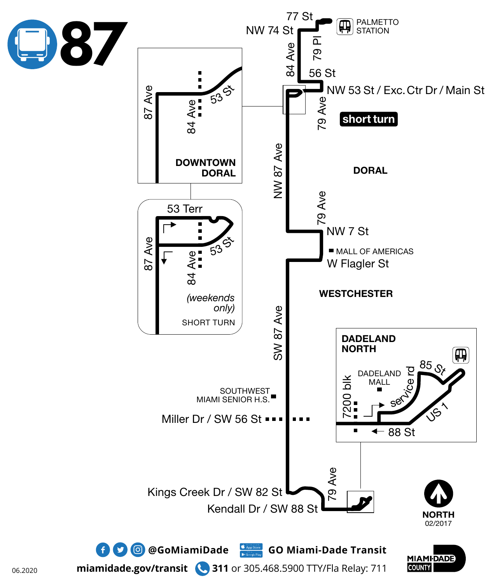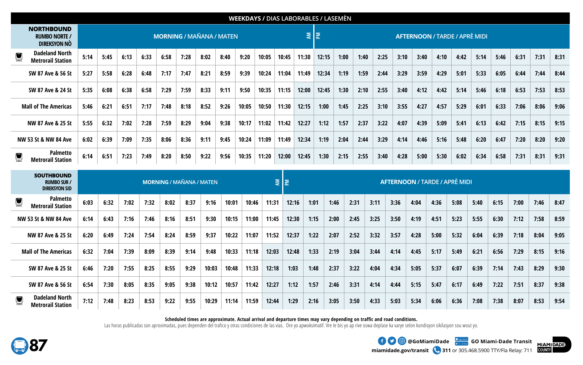|   | <b>WEEKDAYS / DIAS LABORABLES / LASEMÈN</b>               |                                 |      |      |      |      |      |      |      |       |       |       |                                            |       |      |      |      |      |      |      |      |      |      |      |      |      |
|---|-----------------------------------------------------------|---------------------------------|------|------|------|------|------|------|------|-------|-------|-------|--------------------------------------------|-------|------|------|------|------|------|------|------|------|------|------|------|------|
|   | <b>NORTHBOUND</b><br><b>RUMBO NORTE /</b><br>DIREKSYON NO | <b>MORNING / MAÑANA / MATEN</b> |      |      |      |      |      |      |      |       |       |       | 회회<br><b>AFTERNOON / TARDE / APRÈ MIDI</b> |       |      |      |      |      |      |      |      |      |      |      |      |      |
|   | <b>Dadeland North</b><br><b>Metrorail Station</b>         | 5:14                            | 5:45 | 6:13 | 6:33 | 6:58 | 7:28 | 8:02 | 8:40 | 9:20  | 10:05 | 10:45 | 11:30                                      | 12:15 | 1:00 | 1:40 | 2:25 | 3:10 | 3:40 | 4:10 | 4:42 | 5:14 | 5:46 | 6:31 | 7:31 | 8:31 |
|   | SW 87 Ave & 56 St                                         | 5:27                            | 5:58 | 6:28 | 6:48 | 7:17 | 7:47 | 8:21 | 8:59 | 9:39  | 10:24 | 11:04 | 11:49                                      | 12:34 | 1:19 | 1:59 | 2:44 | 3:29 | 3:59 | 4:29 | 5:01 | 5:33 | 6:05 | 6:44 | 7:44 | 8:44 |
|   | SW 87 Ave & 24 St                                         | 5:35                            | 6:08 | 6:38 | 6:58 | 7:29 | 7:59 | 8:33 | 9:11 | 9:50  | 10:35 | 11:15 | 12:00                                      | 12:45 | 1:30 | 2:10 | 2:55 | 3:40 | 4:12 | 4:42 | 5:14 | 5:46 | 6:18 | 6:53 | 7:53 | 8:53 |
|   | <b>Mall of The Americas</b>                               | 5:46                            | 6:21 | 6:51 | 7:17 | 7:48 | 8:18 | 8:52 | 9:26 | 10:05 | 10:50 | 11:30 | 12:15                                      | 1:00  | 1:45 | 2:25 | 3:10 | 3:55 | 4:27 | 4:57 | 5:29 | 6:01 | 6:33 | 7:06 | 8:06 | 9:06 |
|   | NW 87 Ave & 25 St                                         | 5:55                            | 6:32 | 7:02 | 7:28 | 7:59 | 8:29 | 9:04 | 9:38 | 10:17 | 11:02 | 11:42 | 12:27                                      | 1:12  | 1:57 | 2:37 | 3:22 | 4:07 | 4:39 | 5:09 | 5:41 | 6:13 | 6:42 | 7:15 | 8:15 | 9:15 |
|   | NW 53 St & NW 84 Ave                                      | 6:02                            | 6:39 | 7:09 | 7:35 | 8:06 | 8:36 | 9:11 | 9:45 | 10:24 | 11:09 | 11:49 | 12:34                                      | 1:19  | 2:04 | 2:44 | 3:29 | 4:14 | 4:46 | 5:16 | 5:48 | 6:20 | 6:47 | 7:20 | 8:20 | 9:20 |
| 넣 | Palmetto<br><b>Metrorail Station</b>                      | 6:14                            | 6:51 | 7:23 | 7:49 | 8:20 | 8:50 | 9:22 | 9:56 | 10:35 | 11:20 | 12:00 | 12:45                                      | 1:30  | 2:15 | 2:55 | 3:40 | 4:28 | 5:00 | 5:30 | 6:02 | 6:34 | 6:58 | 7:31 | 8:31 | 9:31 |

|                | <b>RUMBO NORTE /</b><br><b>DIREKSYON NO</b>                     |      |      |      |      |      | <b>MORNING / MAÑANA / MATEN</b> |       |       |       |       |          | ξ     | I≅,   |      |      |      |                                      |      |      |      | <b>AFTERNOON / TARDE / APRÈ MIDI</b> |      |      |      |      |
|----------------|-----------------------------------------------------------------|------|------|------|------|------|---------------------------------|-------|-------|-------|-------|----------|-------|-------|------|------|------|--------------------------------------|------|------|------|--------------------------------------|------|------|------|------|
| $\blacksquare$ | <b>Dadeland North</b><br><b>Metrorail Station</b>               | 5:14 | 5:45 | 6:13 | 6:33 | 6:58 | 7:28                            | 8:02  | 8:40  | 9:20  | 10:05 | 10:45    | 11:30 | 12:15 | 1:00 | 1:40 | 2:25 | 3:10                                 | 3:40 | 4:10 | 4:42 | 5:14                                 | 5:46 | 6:31 | 7:31 | 8:31 |
|                | SW 87 Ave & 56 St                                               | 5:27 | 5:58 | 6:28 | 6:48 | 7:17 | 7:47                            | 8:21  | 8:59  | 9:39  | 10:24 | 11:04    | 11:49 | 12:34 | 1:19 | 1:59 | 2:44 | 3:29                                 | 3:59 | 4:29 | 5:01 | 5:33                                 | 6:05 | 6:44 | 7:44 | 8:44 |
|                | SW 87 Ave & 24 St                                               | 5:35 | 6:08 | 6:38 | 6:58 | 7:29 | 7:59                            | 8:33  | 9:11  | 9:50  | 10:35 | 11:15    | 12:00 | 12:45 | 1:30 | 2:10 | 2:55 | 3:40                                 | 4:12 | 4:42 | 5:14 | 5:46                                 | 6:18 | 6:53 | 7:53 | 8:53 |
|                | <b>Mall of The Americas</b>                                     | 5:46 | 6:21 | 6:51 | 7:17 | 7:48 | 8:18                            | 8:52  | 9:26  | 10:05 | 10:50 | 11:30    | 12:15 | 1:00  | 1:45 | 2:25 | 3:10 | 3:55                                 | 4:27 | 4:57 | 5:29 | 6:01                                 | 6:33 | 7:06 | 8:06 | 9:06 |
|                | NW 87 Ave & 25 St                                               | 5:55 | 6:32 | 7:02 | 7:28 | 7:59 | 8:29                            | 9:04  | 9:38  | 10:17 | 11:02 | 11:42    | 12:27 | 1:12  | 1:57 | 2:37 | 3:22 | 4:07                                 | 4:39 | 5:09 | 5:41 | 6:13                                 | 6:42 | 7:15 | 8:15 | 9:15 |
|                | NW 53 St & NW 84 Ave                                            | 6:02 | 6:39 | 7:09 | 7:35 | 8:06 | 8:36                            | 9:11  | 9:45  | 10:24 | 11:09 | 11:49    | 12:34 | 1:19  | 2:04 | 2:44 | 3:29 | 4:14                                 | 4:46 | 5:16 | 5:48 | 6:20                                 | 6:47 | 7:20 | 8:20 | 9:20 |
| Q              | <b>Palmetto</b><br><b>Metrorail Station</b>                     | 6:14 | 6:51 | 7:23 | 7:49 | 8:20 | 8:50                            | 9:22  | 9:56  | 10:35 | 11:20 | 12:00    | 12:45 | 1:30  | 2:15 | 2:55 | 3:40 | 4:28                                 | 5:00 | 5:30 | 6:02 | 6:34                                 | 6:58 | 7:31 | 8:31 | 9:31 |
|                |                                                                 |      |      |      |      |      |                                 |       |       |       |       |          |       |       |      |      |      |                                      |      |      |      |                                      |      |      |      |      |
|                | <b>SOUTHBOUND</b><br><b>RUMBO SUR /</b><br><b>DIREKSYON SID</b> |      |      |      |      |      | <b>MORNING / MAÑANA / MATEN</b> |       |       |       |       | IΣ<br>₹. |       |       |      |      |      | <b>AFTERNOON / TARDE / APRÈ MIDI</b> |      |      |      |                                      |      |      |      |      |
| IJ             | <b>Palmetto</b><br><b>Metrorail Station</b>                     | 6:03 | 6:32 | 7:02 | 7:32 | 8:02 | 8:37                            | 9:16  | 10:01 | 10:46 | 11:31 | 12:16    |       | 1:01  | 1:46 | 2:31 | 3:11 | 3:36                                 | 4:04 | 4:36 | 5:08 | 5:40                                 | 6:15 | 7:00 | 7:46 | 8:47 |
|                | NW 53 St & NW 84 Ave                                            | 6:14 | 6:43 | 7:16 | 7:46 | 8:16 | 8:51                            | 9:30  | 10:15 | 11:00 | 11:45 | 12:30    |       | 1:15  | 2:00 | 2:45 | 3:25 | 3:50                                 | 4:19 | 4:51 | 5:23 | 5:55                                 | 6:30 | 7:12 | 7:58 | 8:59 |
|                | NW 87 Ave & 25 St                                               | 6:20 | 6:49 | 7:24 | 7:54 | 8:24 | 8:59                            | 9:37  | 10:22 | 11:07 | 11:52 | 12:37    |       | 1:22  | 2:07 | 2:52 | 3:32 | 3:57                                 | 4:28 | 5:00 | 5:32 | 6:04                                 | 6:39 | 7:18 | 8:04 | 9:05 |
|                | <b>Mall of The Americas</b>                                     | 6:32 | 7:04 | 7:39 | 8:09 | 8:39 | 9:14                            | 9:48  | 10:33 | 11:18 | 12:03 | 12:48    |       | 1:33  | 2:19 | 3:04 | 3:44 | 4:14                                 | 4:45 | 5:17 | 5:49 | 6:21                                 | 6:56 | 7:29 | 8:15 | 9:16 |
|                | SW 87 Ave & 25 St                                               | 6:46 | 7:20 | 7:55 | 8:25 | 8:55 | 9:29                            | 10:03 | 10:48 | 11:33 | 12:18 | 1:03     |       | 1:48  | 2:37 | 3:22 | 4:04 | 4:34                                 | 5:05 | 5:37 | 6:07 | 6:39                                 | 7:14 | 7:43 | 8:29 | 9:30 |
|                | SW 87 Ave & 56 St                                               | 6:54 | 7:30 | 8:05 | 8:35 | 9:05 | 9:38                            | 10:12 | 10:57 | 11:42 | 12:27 | 1:12     |       | 1:57  | 2:46 | 3:31 | 4:14 | 4:44                                 | 5:15 | 5:47 | 6:17 | 6:49                                 | 7:22 | 7:51 | 8:37 | 9:38 |

## **Scheduled times are approximate. Actual arrival and departure times may vary depending on traffic and road conditions.**

Las horas publicadas son aproximadas, pues dependen del trafico y otras condiciones de las vias. Ore yo apwoksimatif. Vre le bis yo ap rive oswa deplase ka varye selon kondisyon sikilasyon sou wout yo.



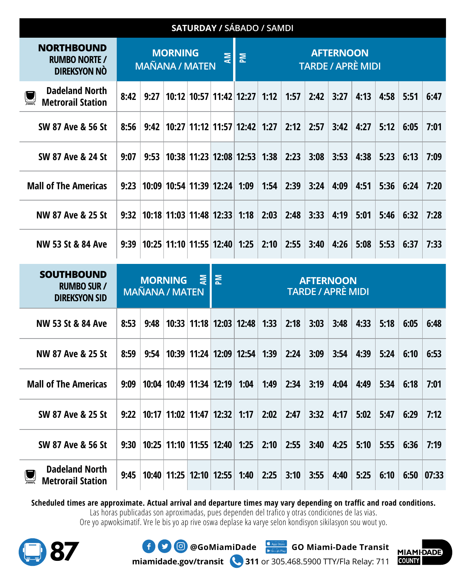|                                                                  |      |                                         |                | SATURDAY / SÁBADO / SAMDI    |   |                                                   |      |      |      |      |      |      |      |       |
|------------------------------------------------------------------|------|-----------------------------------------|----------------|------------------------------|---|---------------------------------------------------|------|------|------|------|------|------|------|-------|
| <b>NORTHBOUND</b><br><b>RUMBO NORTE /</b><br><b>DIREKSYON NO</b> |      |                                         | <b>MORNING</b> | <b>MAÑANA / MATEN</b>        | ₹ | <b>AFTERNOON</b><br>혼<br><b>TARDE / APRÈ MIDI</b> |      |      |      |      |      |      |      |       |
| <b>Dadeland North</b><br><b>Metrorail Station</b>                | 8:42 | 9:27                                    |                | 10:12 10:57 11:42 12:27      |   |                                                   | 1:12 | 1:57 | 2:42 | 3:27 | 4:13 | 4:58 | 5:51 | 6:47  |
| SW 87 Ave & 56 St                                                | 8:56 | 9:42                                    |                | 10:27 11:12 11:57 12:42      |   |                                                   | 1:27 | 2:12 | 2:57 | 3:42 | 4:27 | 5:12 | 6:05 | 7:01  |
| SW 87 Ave & 24 St                                                | 9:07 | 9:53                                    |                | 10:38 11:23 12:08 12:53      |   |                                                   | 1:38 | 2:23 | 3:08 | 3:53 | 4:38 | 5:23 | 6:13 | 7:09  |
| <b>Mall of The Americas</b>                                      | 9:23 |                                         |                | 10:09 10:54 11:39 12:24      |   | 1:09                                              | 1:54 | 2:39 | 3:24 | 4:09 | 4:51 | 5:36 | 6:24 | 7:20  |
| NW 87 Ave & 25 St                                                | 9:32 |                                         |                | 10:18 11:03 11:48 12:33      |   | 1:18                                              | 2:03 | 2:48 | 3:33 | 4:19 | 5:01 | 5:46 | 6:32 | 7:28  |
| NW 53 St & 84 Ave                                                | 9:39 |                                         |                | 10:25 11:10 11:55 12:40 1:25 |   |                                                   | 2:10 | 2:55 | 3:40 | 4:26 | 5:08 | 5:53 | 6:37 | 7:33  |
| <b>SOUTHBOUND</b><br><b>RUMBO SUR /</b><br><b>DIREKSYON SID</b>  |      | <b>MORNING</b><br><b>MAÑANA / MATEN</b> |                | ā                            | 혼 | <b>AFTERNOON</b><br><b>TARDE / APRÈ MIDI</b>      |      |      |      |      |      |      |      |       |
| NW 53 St & 84 Ave                                                | 8:53 | 9:48                                    |                | 10:33 11:18 12:03 12:48      |   |                                                   | 1:33 | 2:18 | 3:03 | 3:48 | 4:33 | 5:18 | 6:05 | 6:48  |
| NW 87 Ave & 25 St                                                | 8:59 | 9:54                                    |                | 10:39 11:24 12:09 12:54      |   |                                                   | 1:39 | 2:24 | 3:09 | 3:54 | 4:39 | 5:24 | 6:10 | 6:53  |
| <b>Mall of The Americas</b>                                      | 9:09 |                                         |                | 10:04 10:49 11:34 12:19      |   | 1:04                                              | 1:49 | 2:34 | 3:19 | 4:04 | 4:49 | 5:34 | 6:18 | 7:01  |
| SW 87 Ave & 25 St                                                | 9:22 |                                         |                | 10:17 11:02 11:47 12:32      |   | 1:17                                              | 2:02 | 2:47 | 3:32 | 4:17 | 5:02 | 5:47 | 6:29 | 7:12  |
| SW 87 Ave & 56 St                                                | 9:30 |                                         |                | 10:25 11:10 11:55 12:40      |   | 1:25                                              | 2:10 | 2:55 | 3:40 | 4:25 | 5:10 | 5:55 | 6:36 | 7:19  |
| <b>Dadeland North</b><br><b>Metrorail Station</b>                | 9:45 |                                         |                | 10:40 11:25 12:10 12:55      |   | 1:40                                              | 2:25 | 3:10 | 3:55 | 4:40 | 5:25 | 6:10 | 6:50 | 07:33 |

**Scheduled times are approximate. Actual arrival and departure times may vary depending on traffic and road conditions.** 

Las horas publicadas son aproximadas, pues dependen del trafico y otras condiciones de las vias.

Ore yo apwoksimatif. Vre le bis yo ap rive oswa deplase ka varye selon kondisyon sikilasyon sou wout yo.